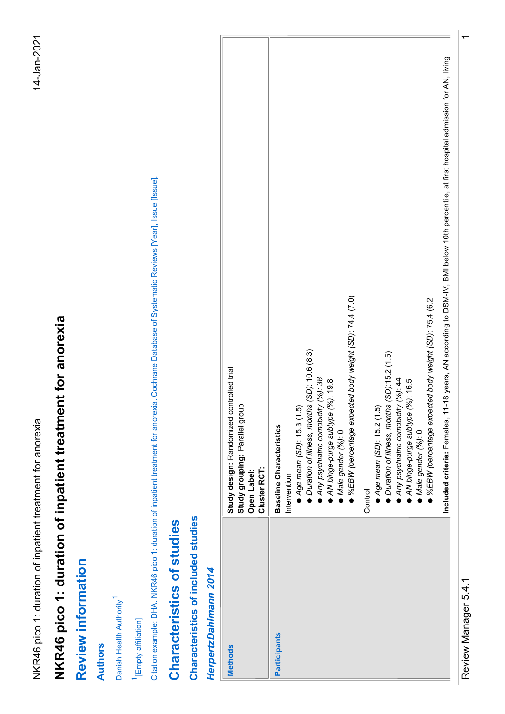| 14-Jan-2021<br>Citation example: DHA. NKR46 pico 1: duration of inpatient treatment for anorexia. Cochrane Database of Systematic Reviews [Year], Issue [Issue].<br>Male gender (%): 0<br>%EBW (percentage expected body weight (SD): 74.4 (7.0)<br>$\bullet$ %EBW (percentage expected body weight (SD): 75.4 (6.2<br>NKR46 pico 1: duration of inpatient treatment for anorexia<br>• Duration of illness, months (SD): 10.6 (8.3)<br>Duration of illness, months (SD):15.2 (1.5)<br>Study design: Randomized controlled trial<br>Study grouping: Parallel group<br>Any psychiatric comobidity (%): 38<br>Any psychiatric comobidity (%): 44<br>AN binge-purge subtype (%): 19.8<br>AN binge-purge subtype (%): 16.5<br>• Age mean (SD): 15.2 (1.5)<br>$\bullet$ Age mean (SD): 15.3 (1.5)<br>NKR46 pico 1: duration of inpatient treatment for anorexia<br><b>Baseline Characteristics</b><br>Male gender (%): 0<br>Cluster RCT:<br>Open Label:<br>Intervention<br>Control<br>Characteristics of included studies<br>Characteristics of studies<br>Review information<br>HerpertzDahlmann 2014<br>Danish Health Authority <sup>1</sup><br><sup>1</sup> [Empty affiliation]<br>Participants<br><b>Authors</b><br><b>Methods</b> |  |
|----------------------------------------------------------------------------------------------------------------------------------------------------------------------------------------------------------------------------------------------------------------------------------------------------------------------------------------------------------------------------------------------------------------------------------------------------------------------------------------------------------------------------------------------------------------------------------------------------------------------------------------------------------------------------------------------------------------------------------------------------------------------------------------------------------------------------------------------------------------------------------------------------------------------------------------------------------------------------------------------------------------------------------------------------------------------------------------------------------------------------------------------------------------------------------------------------------------------------------|--|
|                                                                                                                                                                                                                                                                                                                                                                                                                                                                                                                                                                                                                                                                                                                                                                                                                                                                                                                                                                                                                                                                                                                                                                                                                                  |  |
|                                                                                                                                                                                                                                                                                                                                                                                                                                                                                                                                                                                                                                                                                                                                                                                                                                                                                                                                                                                                                                                                                                                                                                                                                                  |  |
|                                                                                                                                                                                                                                                                                                                                                                                                                                                                                                                                                                                                                                                                                                                                                                                                                                                                                                                                                                                                                                                                                                                                                                                                                                  |  |
|                                                                                                                                                                                                                                                                                                                                                                                                                                                                                                                                                                                                                                                                                                                                                                                                                                                                                                                                                                                                                                                                                                                                                                                                                                  |  |
|                                                                                                                                                                                                                                                                                                                                                                                                                                                                                                                                                                                                                                                                                                                                                                                                                                                                                                                                                                                                                                                                                                                                                                                                                                  |  |
|                                                                                                                                                                                                                                                                                                                                                                                                                                                                                                                                                                                                                                                                                                                                                                                                                                                                                                                                                                                                                                                                                                                                                                                                                                  |  |
|                                                                                                                                                                                                                                                                                                                                                                                                                                                                                                                                                                                                                                                                                                                                                                                                                                                                                                                                                                                                                                                                                                                                                                                                                                  |  |
|                                                                                                                                                                                                                                                                                                                                                                                                                                                                                                                                                                                                                                                                                                                                                                                                                                                                                                                                                                                                                                                                                                                                                                                                                                  |  |
|                                                                                                                                                                                                                                                                                                                                                                                                                                                                                                                                                                                                                                                                                                                                                                                                                                                                                                                                                                                                                                                                                                                                                                                                                                  |  |
|                                                                                                                                                                                                                                                                                                                                                                                                                                                                                                                                                                                                                                                                                                                                                                                                                                                                                                                                                                                                                                                                                                                                                                                                                                  |  |
|                                                                                                                                                                                                                                                                                                                                                                                                                                                                                                                                                                                                                                                                                                                                                                                                                                                                                                                                                                                                                                                                                                                                                                                                                                  |  |
|                                                                                                                                                                                                                                                                                                                                                                                                                                                                                                                                                                                                                                                                                                                                                                                                                                                                                                                                                                                                                                                                                                                                                                                                                                  |  |
|                                                                                                                                                                                                                                                                                                                                                                                                                                                                                                                                                                                                                                                                                                                                                                                                                                                                                                                                                                                                                                                                                                                                                                                                                                  |  |
| Included criteria: Females, 11-18 years, AN according to DSM-IV, BMI below 10th percentile, at first hospital admission for AN, living                                                                                                                                                                                                                                                                                                                                                                                                                                                                                                                                                                                                                                                                                                                                                                                                                                                                                                                                                                                                                                                                                           |  |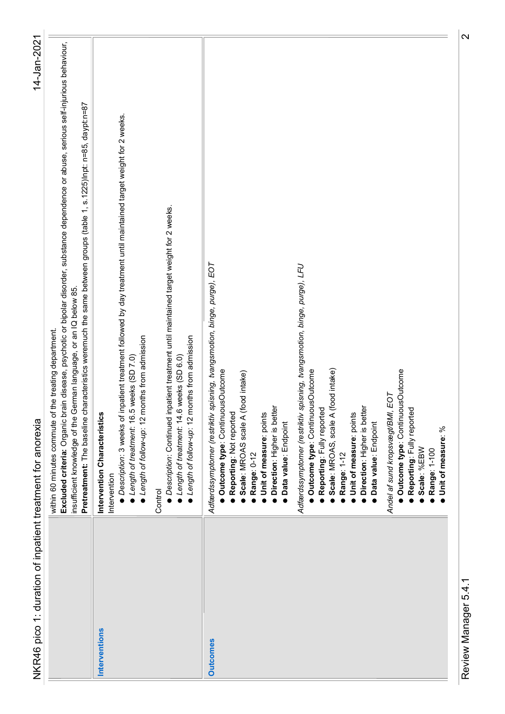| NKR46 pico 1: duration of inpatient treatment for anorexia | 14-Jan-2021                                                                                                                                                                                                                                                                                                                                                                                            |
|------------------------------------------------------------|--------------------------------------------------------------------------------------------------------------------------------------------------------------------------------------------------------------------------------------------------------------------------------------------------------------------------------------------------------------------------------------------------------|
|                                                            | ce or abuse, serious self-injurious behaviour,<br>225)Inpt: n=85, daypt:n=87<br>Excluded criteria: Organic brain disease, psychotic or bipolar disorder, substance dependen<br>Pretreatment: The baseline characteristics weremuch the same between groups (table 1, s.1<br>insufficient knowledge of the German language, or an IQ below 85.<br>within 60 minutes commute of the treating department. |
| Interventions                                              | irget weight for 2 weeks<br>● Description: 3 weeks of inpatient treatment followed by day treatment until maintained ta<br>● Length of treatment: 16.5 weeks (SD 7.0)<br>● Length of follow-up: 12 months from admission<br>Intervention Characteristics<br>Intervention                                                                                                                               |
|                                                            | • Description: Continued inpatient treatment until maintained target weight for 2 weeks.<br>● Length of treatment: 14.6 weeks (SD 6.0)<br>● Length of follow-up: 12 months from admission<br>Control                                                                                                                                                                                                   |
| <b>Outcomes</b>                                            | Adfærdssymptomer (restriktiv spisning, tvangsmotion, binge, purge), EOT<br>Outcome type: ContinuousOutcome<br>Reporting: Not reported<br>Scale: MROAS scale A (food intake)<br>Direction: Higher is better<br>Unit of measure: points<br>Data value: Endpoint<br>Range: 0-12                                                                                                                           |
|                                                            | Adfærdssymptomer (restriktiv spisning, tvangsmotion, binge, purge), LFU<br>Scale: MROAS, scale A (food intake)<br>Outcome type: ContinuousOutcome<br>Direction: Higher is better<br>Reporting: Fully reported<br>Unit of measure: points<br>Data value: Endpoint<br>Range: 1-12                                                                                                                        |
|                                                            | · Outcome type: ContinuousOutcome<br>Andel af sund kropsvægt/BMI, EOT<br>· Reporting: Fully reported<br>Unit of measure: %<br>Scale: %EBW<br>Range: 1-100                                                                                                                                                                                                                                              |
| Review Manager 5.4.1                                       | $\overline{\mathsf{N}}$                                                                                                                                                                                                                                                                                                                                                                                |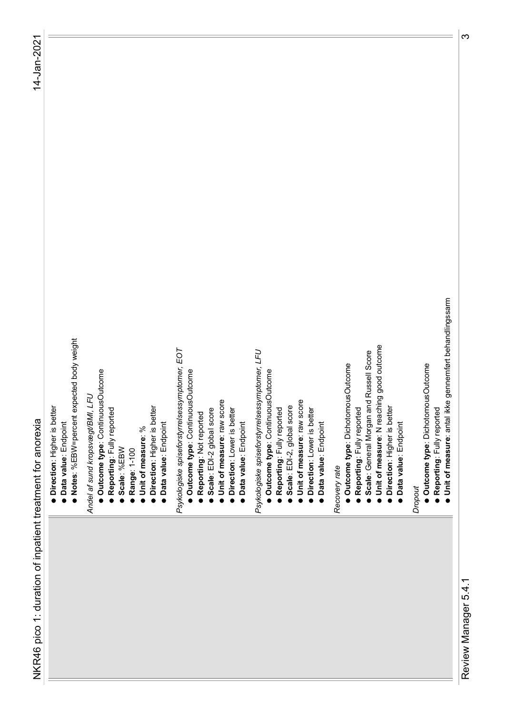- 
- begives the state of the state of the state of the state of the state of the state of the state of the state of the state of the state of the state of the state of the state of the state of the state of the state of the s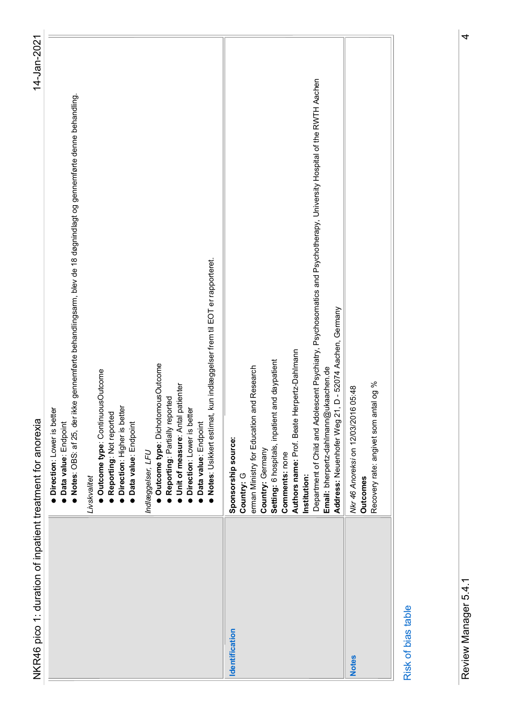| )<br>5<br>5<br>5<br>5<br>5                                       |
|------------------------------------------------------------------|
|                                                                  |
|                                                                  |
|                                                                  |
|                                                                  |
|                                                                  |
|                                                                  |
| )<br>)<br>)<br>)<br>)<br>)<br>)<br>}                             |
|                                                                  |
|                                                                  |
|                                                                  |
|                                                                  |
|                                                                  |
|                                                                  |
|                                                                  |
|                                                                  |
|                                                                  |
|                                                                  |
|                                                                  |
|                                                                  |
|                                                                  |
|                                                                  |
|                                                                  |
|                                                                  |
|                                                                  |
|                                                                  |
|                                                                  |
|                                                                  |
|                                                                  |
|                                                                  |
| へりょう 2つ ょうサ ナスり ろうすう りょう ナス りこうりょう クラス・ライン                       |
|                                                                  |
|                                                                  |
| i<br>C                                                           |
| )<br>5<br>5<br>5<br>5                                            |
|                                                                  |
|                                                                  |
|                                                                  |
|                                                                  |
|                                                                  |
|                                                                  |
| ֦֦֚֚֚֚֚֚֚֚֝֝֝֝֝֝֝֝<br>֧֪֧֪֪֧֧֧֧֚֚֚֚֚֚֚֚֚֚֚֚֚֚֚֚֚֚֚֚֚֚֚֚֚֝֟֝֬֝֬֝֬ |
|                                                                  |
|                                                                  |
|                                                                  |
|                                                                  |
|                                                                  |
|                                                                  |

| ľ  |
|----|
|    |
|    |
| ŗ. |
| i  |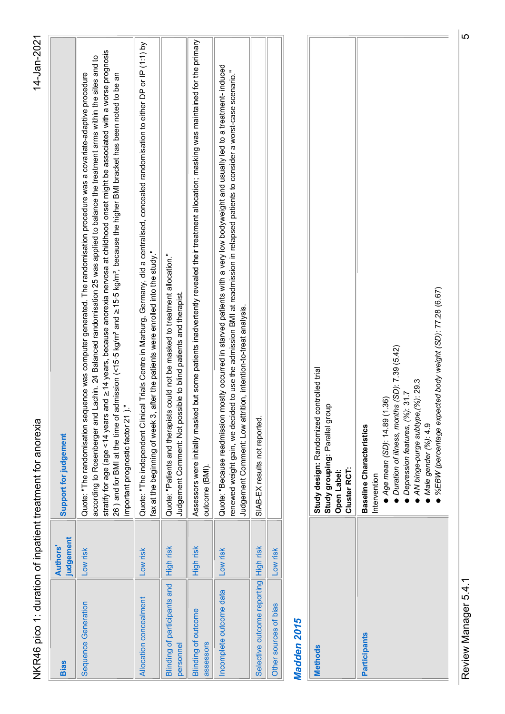| )<br>3                                                                                                                                                                                                                         |
|--------------------------------------------------------------------------------------------------------------------------------------------------------------------------------------------------------------------------------|
|                                                                                                                                                                                                                                |
|                                                                                                                                                                                                                                |
| intone in the search of the search of the search of the search of the search of the search of the search of the search of the search of the search of the search of the search of the search of the search of the search of th |
|                                                                                                                                                                                                                                |
|                                                                                                                                                                                                                                |
| リニューマー                                                                                                                                                                                                                         |
|                                                                                                                                                                                                                                |
|                                                                                                                                                                                                                                |
|                                                                                                                                                                                                                                |
|                                                                                                                                                                                                                                |
|                                                                                                                                                                                                                                |
|                                                                                                                                                                                                                                |
|                                                                                                                                                                                                                                |
| $\frac{1}{2}$                                                                                                                                                                                                                  |
| こうりょうりょ キュウキ うりこ ナウ 2つこう                                                                                                                                                                                                       |
|                                                                                                                                                                                                                                |
|                                                                                                                                                                                                                                |
| )<br>DN<br>DN<br>DN                                                                                                                                                                                                            |
|                                                                                                                                                                                                                                |
|                                                                                                                                                                                                                                |
| ۲<br>2)                                                                                                                                                                                                                        |
|                                                                                                                                                                                                                                |
|                                                                                                                                                                                                                                |
|                                                                                                                                                                                                                                |
| ֞֝֝֝֝֝֝֝֝֝֝֝֝֝<br>֧֪֪֝֝֜֝֜֝֜֝֜֝֜֝֜֝                                                                                                                                                                                            |
|                                                                                                                                                                                                                                |
|                                                                                                                                                                                                                                |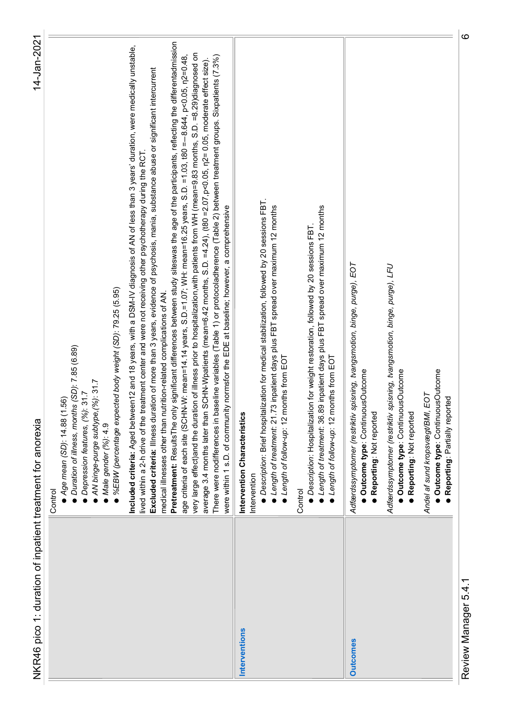| Duration of illness, months (SD): 7.85 (6.89)<br>AN binge-purge subtype, (%): 31.7<br>Depression features, (%): 31.7<br>● Age mean (SD): 14.88 (1.56)<br>NKR46 pico 1: duration of inpatient treatment for anorexia<br>Male gender (%): 4.9<br>Control                                                                                                                                                                                                                                                                                                                                                                                                                                                                                                                                                                                                                                                                                                                                                                                                                                                                                                                                                                        |
|-------------------------------------------------------------------------------------------------------------------------------------------------------------------------------------------------------------------------------------------------------------------------------------------------------------------------------------------------------------------------------------------------------------------------------------------------------------------------------------------------------------------------------------------------------------------------------------------------------------------------------------------------------------------------------------------------------------------------------------------------------------------------------------------------------------------------------------------------------------------------------------------------------------------------------------------------------------------------------------------------------------------------------------------------------------------------------------------------------------------------------------------------------------------------------------------------------------------------------|
| ● %EBW (percentage expected body weight (SD): 79.25 (5.95)                                                                                                                                                                                                                                                                                                                                                                                                                                                                                                                                                                                                                                                                                                                                                                                                                                                                                                                                                                                                                                                                                                                                                                    |
| participants, reflecting the differentadmission<br>I <b>ncluded criteria</b> : Aged between12 and 18 years, with a DSM-IV diagnosis of AN of less than 3 years' duration, were medically unstable,<br>lived within a 2-h drive of the treatment center and were not receiving other psychot<br>age criteria of each site (SCHN-W: mean=14.14 years, S.D.=1.07; WH: mean=16.25 years, S.D. =1.03, t80 =−8.644, p<0.05, n2=0.48,<br>very large effect)and the duration of illness prior to hospitalization,with patients from WH<br>een treatment groups. Sixpatients (7.3%)<br>p<0.05, n2=0.05, moderate effect size).<br>tance abuse or significant intercurrent<br>Excluded criteria: Illness duration of more than 3 years, evidence of psychosis, mania, subs<br>Pretreatment: Results The only significant differences between study siteswas the age of the<br>average 3.4 months later than SCHN-Wpatients (mean=6.42 months, S.D. =4.24), (t80 =2.07,<br>There were nodifferences in baseline variables (Table 1) or protocoladherence (Table 2) betw<br>were within 1 s.D. of community normsfor the EDE at baseline; however, a comprehensive<br>medical illnesses other than nutrition-related complications of AN. |
| · Description: Brief hospitalization for medical stabilization, followed by 20 sessions FBT.<br>● Length of treatment: 21.73 inpatient days plus FBT spread over maximum 12 months<br>● Length of follow-up: 12 months from EOT<br>Intervention Characteristics<br>Intervention<br>Interventions                                                                                                                                                                                                                                                                                                                                                                                                                                                                                                                                                                                                                                                                                                                                                                                                                                                                                                                              |
| ● Length of treatment: 36.89 inpatient days plus FBT spread over maximum 12 months<br>● Description: Hospitalization for weight restoration, followed by 20 sessions FBT.<br>Length of follow-up: 12 months from EOT<br>Control                                                                                                                                                                                                                                                                                                                                                                                                                                                                                                                                                                                                                                                                                                                                                                                                                                                                                                                                                                                               |
| Adfærdssymptomer (restriktiv spisning, tvangsmotion, binge, purge), EOT<br>Outcome type: ContinuousOutcome<br>· Reporting: Not reported                                                                                                                                                                                                                                                                                                                                                                                                                                                                                                                                                                                                                                                                                                                                                                                                                                                                                                                                                                                                                                                                                       |
| Adfærdssymptomer (restriktiv spisning, tvangsmotion, binge, purge), LFU<br>Outcome type: ContinuousOutcome                                                                                                                                                                                                                                                                                                                                                                                                                                                                                                                                                                                                                                                                                                                                                                                                                                                                                                                                                                                                                                                                                                                    |
| · Reporting: Not reported                                                                                                                                                                                                                                                                                                                                                                                                                                                                                                                                                                                                                                                                                                                                                                                                                                                                                                                                                                                                                                                                                                                                                                                                     |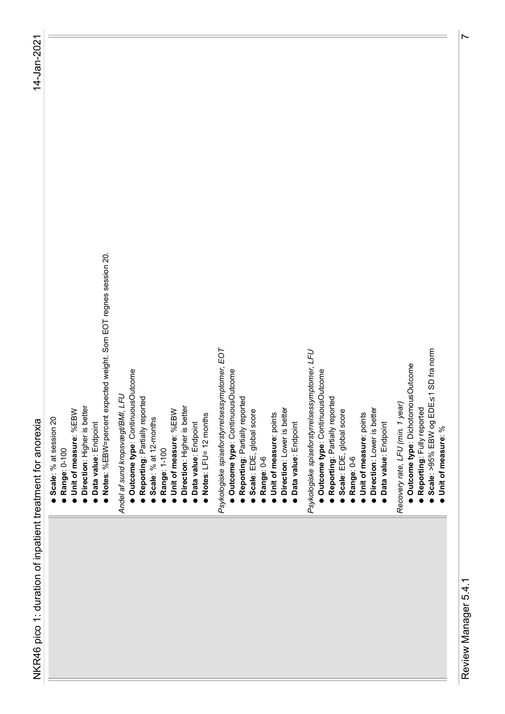- -
- 
- - -
- between the analysis are contained to the second the second term in the second term in the second term in the second term in the second term in the second term in the second term in the second term in the second term in t

- - -
- 
- 
- 
- -
- 

- 
- 
- 
- 
- 
- 
- 
- 
- 
- 
- -
- 
- 
- 
- 

- 
- -
- 
- -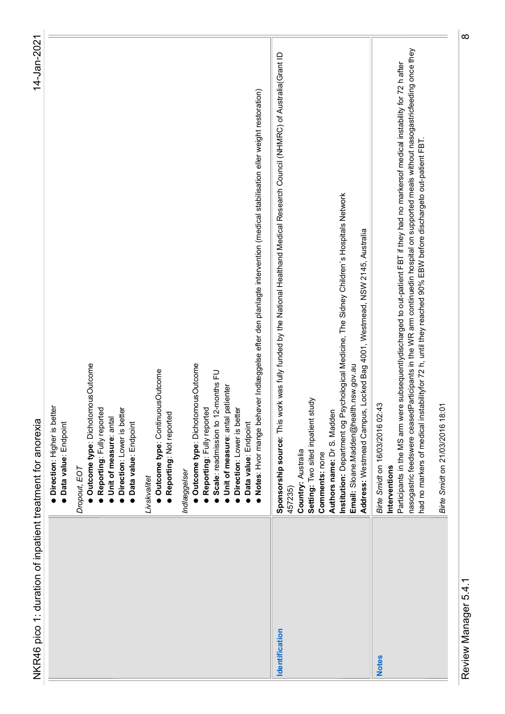| ;<br>;<br>;               |
|---------------------------|
|                           |
|                           |
| " התאמר לד<br>)<br>5<br>S |
|                           |
|                           |
| $\frac{2}{5}$             |
|                           |
| )<br>DN<br>2              |
|                           |
|                           |
| .<br>2<br>2<br>2<br>2     |
|                           |
| `<br>ا                    |

| · Outcome type: DichotomousOutcome<br>Outcome type: DichotomousOutcome<br>Outcome type: ContinuousOutcome<br>· Direction: Higher is better<br>· Reporting: Fully reported<br>Direction: Lower is better<br>· Reporting: Not reported<br>Unit of measure: antal<br>NKR46 pico 1: duration of inpatient treatment for anorexia<br>· Data value: Endpoint<br>· Data value: Endpoint<br>Dropout, EOT<br>Indlæggelser<br>Livskvalitet |
|----------------------------------------------------------------------------------------------------------------------------------------------------------------------------------------------------------------------------------------------------------------------------------------------------------------------------------------------------------------------------------------------------------------------------------|
|                                                                                                                                                                                                                                                                                                                                                                                                                                  |
|                                                                                                                                                                                                                                                                                                                                                                                                                                  |
|                                                                                                                                                                                                                                                                                                                                                                                                                                  |
| ● Notes: Hvor mange behøver Indlæggelse efter den planlagte intervention (medical stabilisation eller weight restoration)<br>Scale: readmission to 12-months FU<br>Unit of measure: antal patienter<br><b>Reporting: Fully reported</b><br>Direction: Lower is better<br>Data value: Endpoint                                                                                                                                    |
| Sponsorship source: This work was fully funded by the National Healthand Medical Research Council (NHMRC) of Australia(Grant ID<br>Institution: Department og Psychological Medicine, The Sidney Children's Hospitals Network<br>Email: Sloane.Madden@health.nsw.gov.au<br>Setting: Two sited inpatient study<br>Authors name: Dr S. Madden<br>Country: Australia<br>Comments: none<br>457235)<br>Identification                 |
| Address: Westmead Campus, Locked Bag 4001, Westmead, NSW 2145, Australia                                                                                                                                                                                                                                                                                                                                                         |
| Participants in the MS arm were subsequentlydischarged to out-patient FBT if they had no markersof medical instability for 72 h after<br>Birte Smidt on 16/03/2016 02:43<br>Interventions<br><b>Notes</b>                                                                                                                                                                                                                        |
| nasogastric feedswere ceasedParticipants in the WR arm continuedin hospital on supported meals without nasogastricfeeding once they<br>out-patient FBT<br>had no markers of medical instabilityfor 72 h, until they reached 90% EBW before dischargeto                                                                                                                                                                           |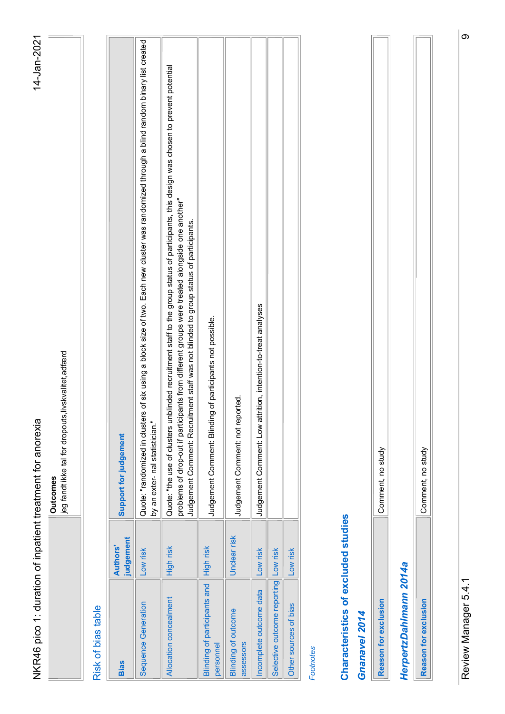| eason for exclusion |  |
|---------------------|--|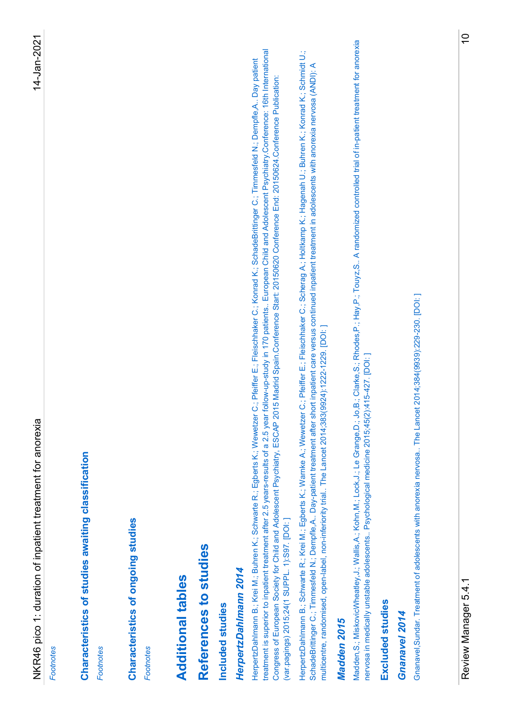NGRE part is duration of the second to a come of the come of the second of the part is durated by the second of the second of the second of the second of the second of the second of the second of the second of the second o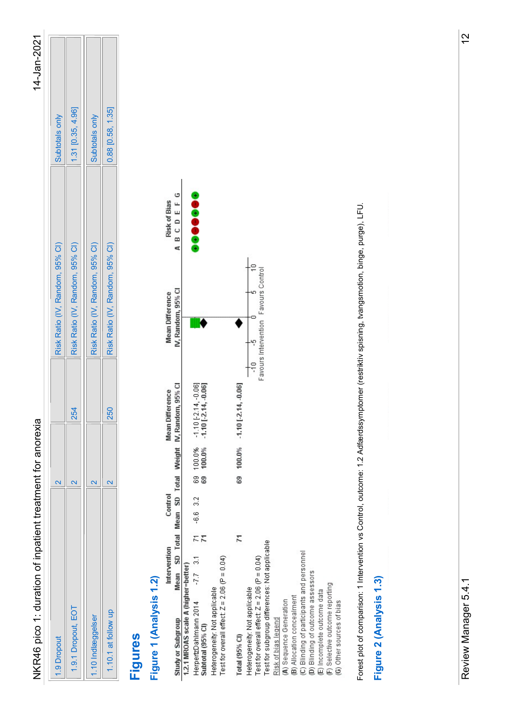| ζ |
|---|
|   |
|   |

| 1.9 Dropout         |     | Risk Ratio (IV, Random, 95% CI) | Subtotals only      |
|---------------------|-----|---------------------------------|---------------------|
| .9.1 Dropout, EOT   | 254 | Risk Ratio (IV, Random, 95% CI) | $1.31$ [0.35, 4.96] |
| 1.10 Indlæggelser   |     | Risk Ratio (IV, Random, 95% CI) | Subtotals only      |
| 1.10.1 at follow up | 250 | Risk Ratio (IV, Random, 95% CI) | $0.88$ [0.58, 1.35] |

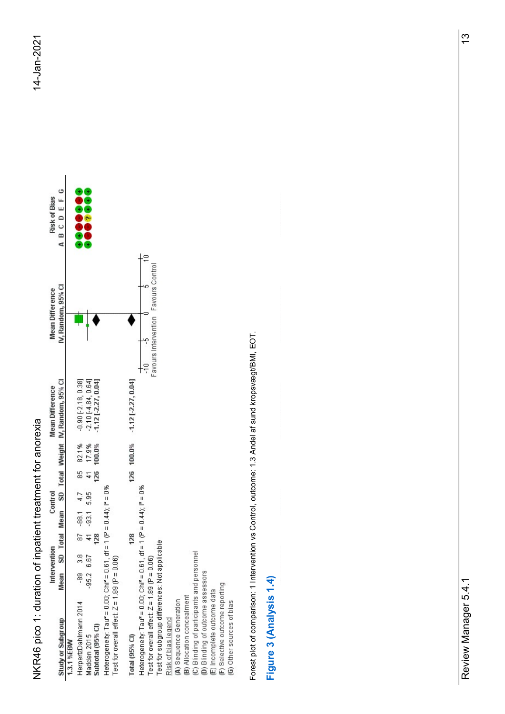

|                                                                                                                                                                                                                                                                                                                                                                                                                                                                                                                                                            |                                                                   |                               | 14-Jan-2021   |
|------------------------------------------------------------------------------------------------------------------------------------------------------------------------------------------------------------------------------------------------------------------------------------------------------------------------------------------------------------------------------------------------------------------------------------------------------------------------------------------------------------------------------------------------------------|-------------------------------------------------------------------|-------------------------------|---------------|
| Mean Difference<br>IV, Random, 95% Cl<br><b>Total Weight</b><br>Control<br>SD<br><b>Total Mean</b><br>Intervention<br>Iean SD To<br>Mean<br>Study or Subgroup<br>1.3.1%EBW                                                                                                                                                                                                                                                                                                                                                                                 | Mean Difference<br>IV, Random, 95% Cl                             | Risk of Bias<br>A B C D E F G |               |
| $\begin{array}{r} -0.90\,\, [ -2.18, \, 0.38]\\ -2.10\,\, [ -4.84, \, 0.64]\\ -1.12\,\, [ -2.27, \, 0.04] \end{array}$<br>85 82.1%<br>41 17.9%<br>126 100.0%<br>Heterogeneity: Tau* = 0.00; Chi* = 0.61, df = 1 (P = 0.44); i* = 0%<br>Test for overall effect: Z = 1.89 (P = 0.06)<br>$-88.1$ 4.7<br>$-93.1$ 5.95<br>$\frac{2}{12}$ & $\frac{1}{2}$<br>$-89$ 3.8<br>$-95.2$ 6.67<br>HerpertzDahlmann 2014<br>Madden 2015<br>Subtotal (95% CI)                                                                                                             |                                                                   | 0000000                       |               |
| $\frac{1}{2}$<br>$1.12$ [-2.27, 0.04]<br>126 100.0%<br>Heterogeneity: Tau <sup>z</sup> = 0.00; Chi <sup>z</sup> = 0.61, df = 1 (P = 0.44); i <sup>z</sup> = 0%<br>Test for overall effect: Z = 1.89 (P = 0.06)<br>Test for subgroup differences: Not applicable<br>128<br>(C) Blinding of participants and personnel<br>(D) Blinding of outcome assessors<br>(E) Incomplete outcome data<br>(F) Selective outcome reporting<br>(G) Other sources of bias<br>(A) Sequence Generation<br>(B) Allocation concealment<br>Risk of bias legend<br>Total (95% CI) | ∤a<br>Favours Control<br>-40<br>o<br>Favours Intervention<br>.မှာ |                               |               |
| Intervention vs Control, outcome: 1.3 Andel af sund kropsvægt/BMI, EOT.<br>Figure 3 (Analysis 1.4)<br>Forest plot of comparison: 1                                                                                                                                                                                                                                                                                                                                                                                                                         |                                                                   |                               |               |
|                                                                                                                                                                                                                                                                                                                                                                                                                                                                                                                                                            |                                                                   |                               |               |
| $\overline{\phantom{0}}$<br>Review Manager 5.4.                                                                                                                                                                                                                                                                                                                                                                                                                                                                                                            |                                                                   |                               | $\frac{3}{2}$ |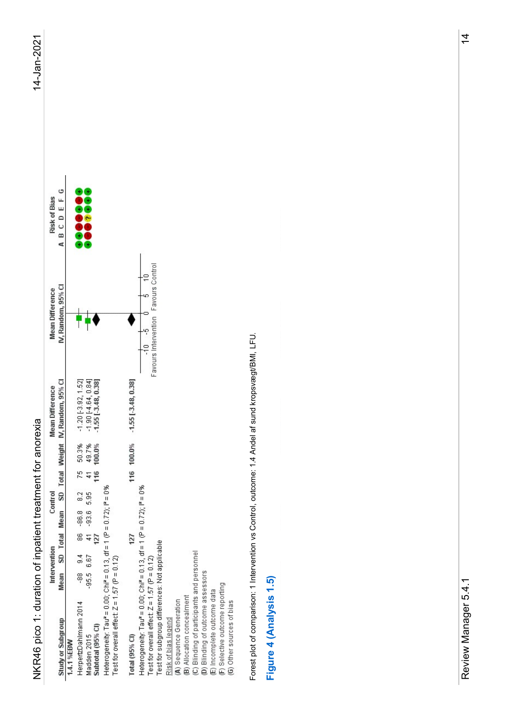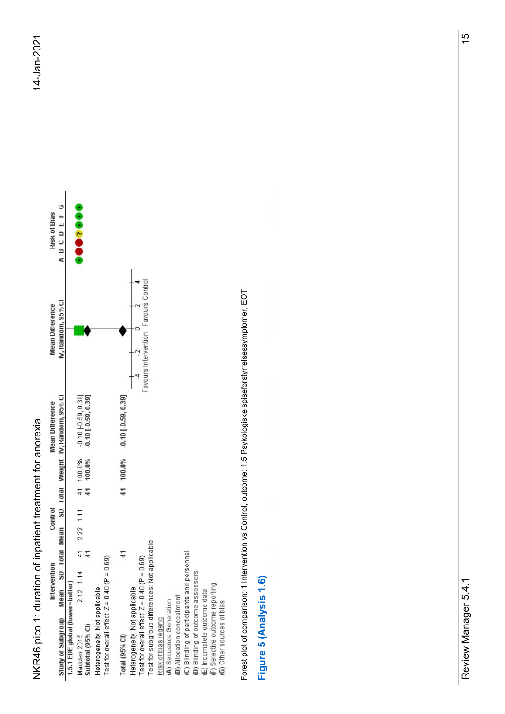

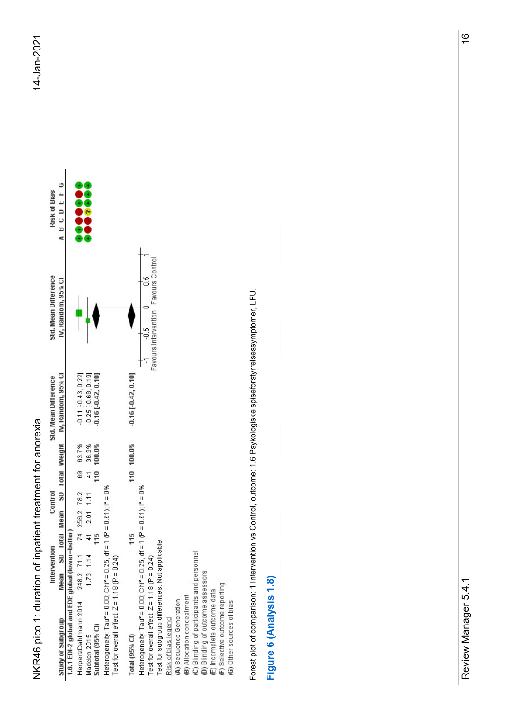| Ξ |
|---|
| ľ |
|   |
|   |
| l |
|   |

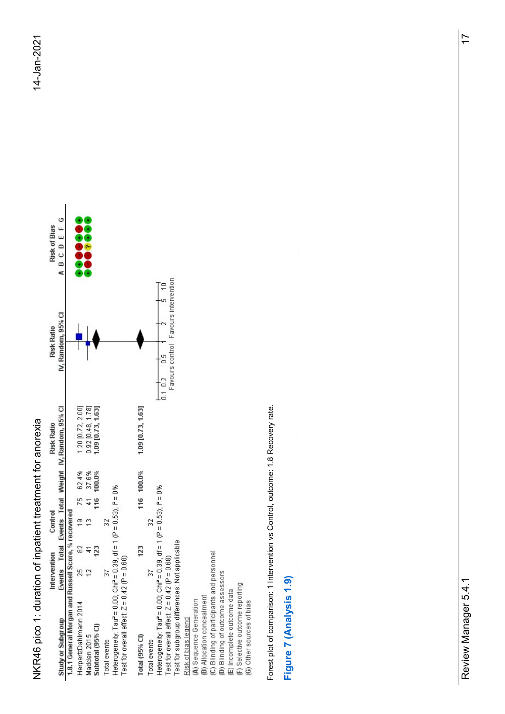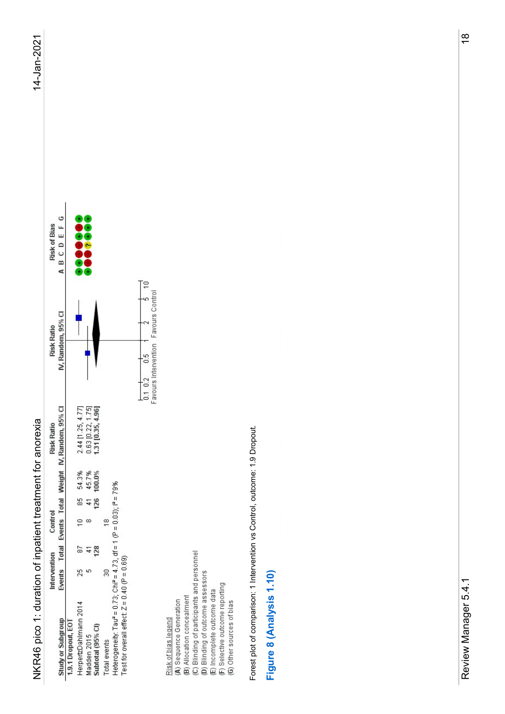| ľ |
|---|
|   |
| Ξ |
|   |
|   |
|   |
| 7 |
| ۹ |

| NKR46 pico 1: duration of inpatient treatment for anorexia                                                                                                                                                                                                                                                                                                                                                                                                                        |                                                                                                                                                                                                                                                                                                                                                                                                                                                                                            |                                    | 14-Jan-2021    |
|-----------------------------------------------------------------------------------------------------------------------------------------------------------------------------------------------------------------------------------------------------------------------------------------------------------------------------------------------------------------------------------------------------------------------------------------------------------------------------------|--------------------------------------------------------------------------------------------------------------------------------------------------------------------------------------------------------------------------------------------------------------------------------------------------------------------------------------------------------------------------------------------------------------------------------------------------------------------------------------------|------------------------------------|----------------|
| Total Weight IV, Random, 95% Cl<br><b>Risk Ratio</b><br>Control<br>Intervention Contr<br>Events Total Events                                                                                                                                                                                                                                                                                                                                                                      | IV, Random, 95% CI<br><b>Risk Ratio</b>                                                                                                                                                                                                                                                                                                                                                                                                                                                    | G<br>Risk of Bias<br>A B C D E F ( |                |
| $2.44$ (1.25, 4.77)<br>0.63 (0.22, 1.75)<br>1.31 (0.35, 4.96)<br>85 54.3%<br>41 45.7%<br>126 100.0%<br>Total events<br>Heterogeneity: Tau <sup>z</sup> = 0.73; Chi <sup>z</sup> = 4.73, df = 1 (P = 0.03); i <sup>z</sup> = 79%<br>Test for overall effect: Z = 0.40 (P = 0.69)<br>$\mathop{\oplus}\limits^{\infty}$ $^{\infty}$<br>$\frac{2}{3}$ $\frac{4}{3}$<br>$25\,$<br>Study or Subgroup<br>1.9.1 Dropout, EOT<br>HerpertzDahlmann 2014<br>Madden 2015<br>Subtotal (95% CI) |                                                                                                                                                                                                                                                                                                                                                                                                                                                                                            |                                    |                |
|                                                                                                                                                                                                                                                                                                                                                                                                                                                                                   | Ţ₽<br>$\begin{array}{ccc}\n\begin{array}{ccc}\n\hline\n1 & 0.2 & 0.5 \\ \hline\n1 & 0.2 & 0.5 \\ \hline\n\end{array} & \begin{array}{ccc}\n\hline\n1 & 2 \\ \hline\n2 & 5 \\ \hline\n3 & 0.01 & 0.01 \\ \hline\n\end{array} & \begin{array}{ccc}\n\hline\n\end{array} & \begin{array}{ccc}\n\hline\n\end{array} & \begin{array}{ccc}\n\hline\n\end{array} & \begin{array}{ccc}\n\hline\n\end{array} & \begin{array}{ccc}\n\hline\n\end{array} & \begin{array}{ccc}\n\hline\n\end{array} &$ |                                    |                |
| (C) Blinding of participants and personnel<br>(D) Blinding of outcome assessors<br>(E) Incomplete outcome data<br>(F) Selective outcome reporting<br>(G) Other sources of bias<br>(A) Sequence Generation<br>(B) Allocation concealment<br>Risk of bias legend                                                                                                                                                                                                                    |                                                                                                                                                                                                                                                                                                                                                                                                                                                                                            |                                    |                |
| Intervention vs Control, outcome: 1.9 Dropout.<br>Forest plot of comparison: 1                                                                                                                                                                                                                                                                                                                                                                                                    |                                                                                                                                                                                                                                                                                                                                                                                                                                                                                            |                                    |                |
| Figure 8 (Analysis 1.10)                                                                                                                                                                                                                                                                                                                                                                                                                                                          |                                                                                                                                                                                                                                                                                                                                                                                                                                                                                            |                                    |                |
|                                                                                                                                                                                                                                                                                                                                                                                                                                                                                   |                                                                                                                                                                                                                                                                                                                                                                                                                                                                                            |                                    |                |
|                                                                                                                                                                                                                                                                                                                                                                                                                                                                                   |                                                                                                                                                                                                                                                                                                                                                                                                                                                                                            |                                    |                |
|                                                                                                                                                                                                                                                                                                                                                                                                                                                                                   |                                                                                                                                                                                                                                                                                                                                                                                                                                                                                            |                                    |                |
| $\overline{\phantom{0}}$<br>Review Manager 5.4.                                                                                                                                                                                                                                                                                                                                                                                                                                   |                                                                                                                                                                                                                                                                                                                                                                                                                                                                                            |                                    | $\frac{8}{10}$ |